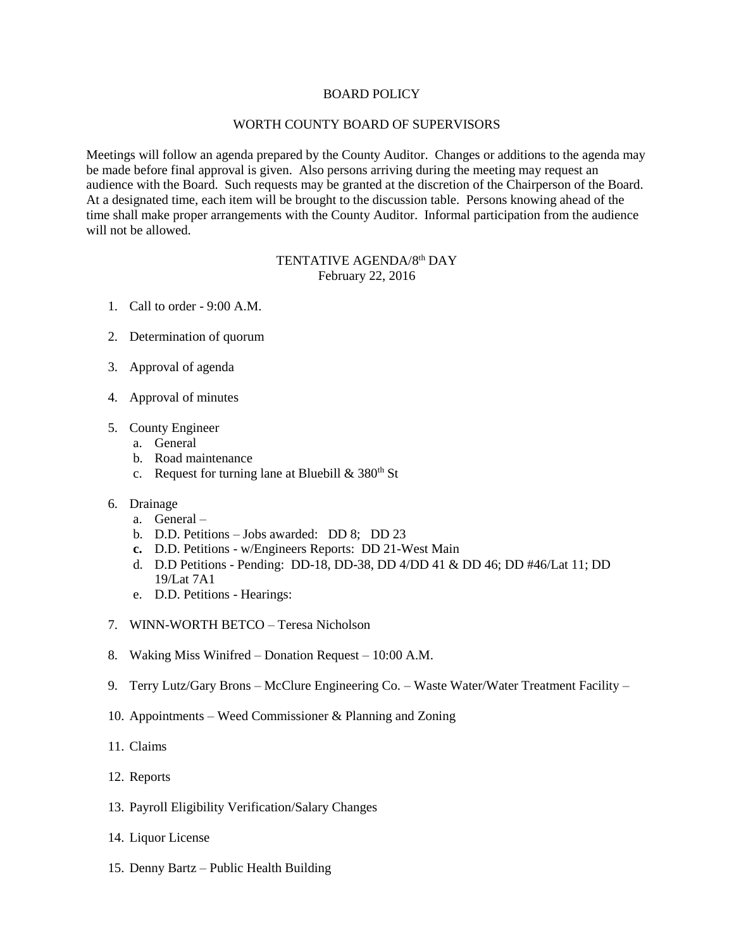## BOARD POLICY

## WORTH COUNTY BOARD OF SUPERVISORS

Meetings will follow an agenda prepared by the County Auditor. Changes or additions to the agenda may be made before final approval is given. Also persons arriving during the meeting may request an audience with the Board. Such requests may be granted at the discretion of the Chairperson of the Board. At a designated time, each item will be brought to the discussion table. Persons knowing ahead of the time shall make proper arrangements with the County Auditor. Informal participation from the audience will not be allowed.

## TENTATIVE AGENDA/8<sup>th</sup> DAY February 22, 2016

- 1. Call to order 9:00 A.M.
- 2. Determination of quorum
- 3. Approval of agenda
- 4. Approval of minutes
- 5. County Engineer
	- a. General
	- b. Road maintenance
	- c. Request for turning lane at Bluebill  $& 380<sup>th</sup>$  St
- 6. Drainage
	- a. General –
	- b. D.D. Petitions Jobs awarded: DD 8; DD 23
	- **c.** D.D. Petitions w/Engineers Reports: DD 21-West Main
	- d. D.D Petitions Pending: DD-18, DD-38, DD 4/DD 41 & DD 46; DD #46/Lat 11; DD 19/Lat 7A1
	- e. D.D. Petitions Hearings:
- 7. WINN-WORTH BETCO Teresa Nicholson
- 8. Waking Miss Winifred Donation Request 10:00 A.M.
- 9. Terry Lutz/Gary Brons McClure Engineering Co. Waste Water/Water Treatment Facility –
- 10. Appointments Weed Commissioner & Planning and Zoning
- 11. Claims
- 12. Reports
- 13. Payroll Eligibility Verification/Salary Changes
- 14. Liquor License
- 15. Denny Bartz Public Health Building